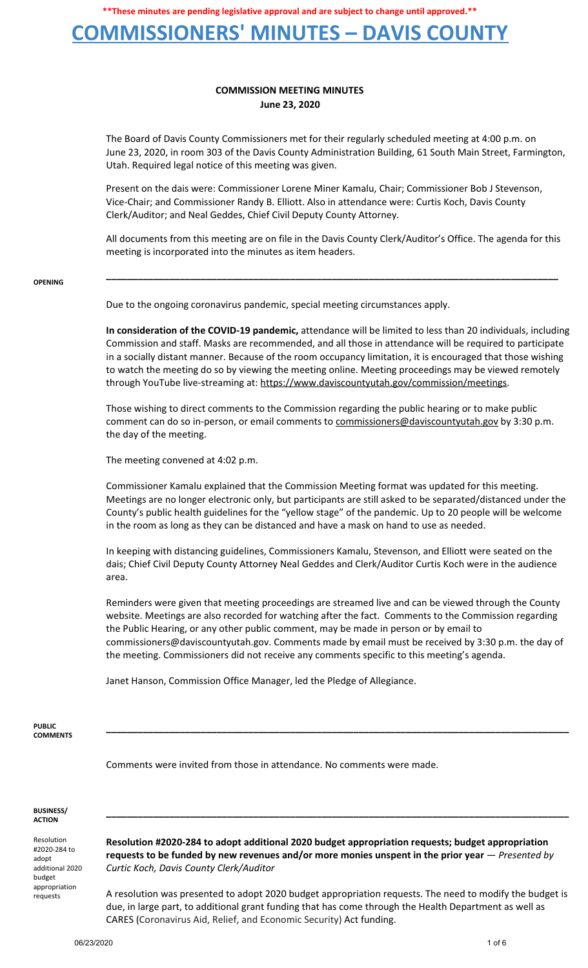## **COMMISSIONERS' MINUTES – DAVIS COUNTY**

### **COMMISSION MEETING MINUTES June 23, 2020**

The Board of Davis County Commissioners met for their regularly scheduled meeting at 4:00 p.m. on June 23, 2020, in room 303 of the Davis County Administration Building, 61 South Main Street, Farmington, Utah. Required legal notice of this meeting was given.

Present on the dais were: Commissioner Lorene Miner Kamalu, Chair; Commissioner Bob J Stevenson, Vice-Chair; and Commissioner Randy B. Elliott. Also in attendance were: Curtis Koch, Davis County Clerk/Auditor; and Neal Geddes, Chief Civil Deputy County Attorney.

All documents from this meeting are on file in the Davis County Clerk/Auditor's Office. The agenda for this meeting is incorporated into the minutes as item headers.

**\_\_\_\_\_\_\_\_\_\_\_\_\_\_\_\_\_\_\_\_\_\_\_\_\_\_\_\_\_\_\_\_\_\_\_\_\_\_\_\_\_\_\_\_\_\_\_\_\_\_\_\_\_\_\_\_\_\_\_\_\_\_\_\_\_\_\_\_\_\_\_\_\_\_\_\_\_\_\_\_\_\_\_\_\_\_**

#### **OPENING**

Due to the ongoing coronavirus pandemic, special meeting circumstances apply.

**In consideration of the COVID-19 pandemic,** attendance will be limited to less than 20 individuals, including Commission and staff. Masks are recommended, and all those in attendance will be required to participate in a socially distant manner. Because of the room occupancy limitation, it is encouraged that those wishing to watch the meeting do so by viewing the meeting online. Meeting proceedings may be viewed remotely through YouTube live-streaming at: https://www.daviscountyutah.gov/commission/meetings.

Those wishing to direct comments to the Commission regarding the public hearing or to make public comment can do so in-person, or email comments to commissioners@daviscountyutah.gov by 3:30 p.m. the day of the meeting.

The meeting convened at 4:02 p.m.

Commissioner Kamalu explained that the Commission Meeting format was updated for this meeting. Meetings are no longer electronic only, but participants are still asked to be separated/distanced under the County's public health guidelines for the "yellow stage" of the pandemic. Up to 20 people will be welcome in the room as long as they can be distanced and have a mask on hand to use as needed.

In keeping with distancing guidelines, Commissioners Kamalu, Stevenson, and Elliott were seated on the dais; Chief Civil Deputy County Attorney Neal Geddes and Clerk/Auditor Curtis Koch were in the audience area.

Reminders were given that meeting proceedings are streamed live and can be viewed through the County website. Meetings are also recorded for watching after the fact. Comments to the Commission regarding the Public Hearing, or any other public comment, may be made in person or by email to commissioners@daviscountyutah.gov. Comments made by email must be received by 3:30 p.m. the day of the meeting. Commissioners did not receive any comments specific to this meeting's agenda.

**\_\_\_\_\_\_\_\_\_\_\_\_\_\_\_\_\_\_\_\_\_\_\_\_\_\_\_\_\_\_\_\_\_\_\_\_\_\_\_\_\_\_\_\_\_\_\_\_\_\_\_\_\_\_\_\_\_\_\_\_\_\_\_\_\_\_\_\_\_\_\_\_\_\_\_\_\_\_\_\_\_\_\_\_\_\_\_\_**

Janet Hanson, Commission Office Manager, led the Pledge of Allegiance.

**PUBLIC COMMENTS**

Comments were invited from those in attendance. No comments were made.

#### **BUSINESS/ ACTION**

Resolution #2020-284 to adopt additional 2020 budget appropriation requests

**Resolution #2020-284 to adopt additional 2020 budget appropriation requests; budget appropriation requests to be funded by new revenues and/or more monies unspent in the prior year** — *Presented by Curtic Koch, Davis County Clerk/Auditor*

**\_\_\_\_\_\_\_\_\_\_\_\_\_\_\_\_\_\_\_\_\_\_\_\_\_\_\_\_\_\_\_\_\_\_\_\_\_\_\_\_\_\_\_\_\_\_\_\_\_\_\_\_\_\_\_\_\_\_\_\_\_\_\_\_\_\_\_\_\_\_\_\_\_\_\_\_\_\_\_\_\_\_\_\_\_\_\_\_**

A resolution was presented to adopt 2020 budget appropriation requests. The need to modify the budget is due, in large part, to additional grant funding that has come through the Health Department as well as CARES (Coronavirus Aid, Relief, and Economic Security) Act funding.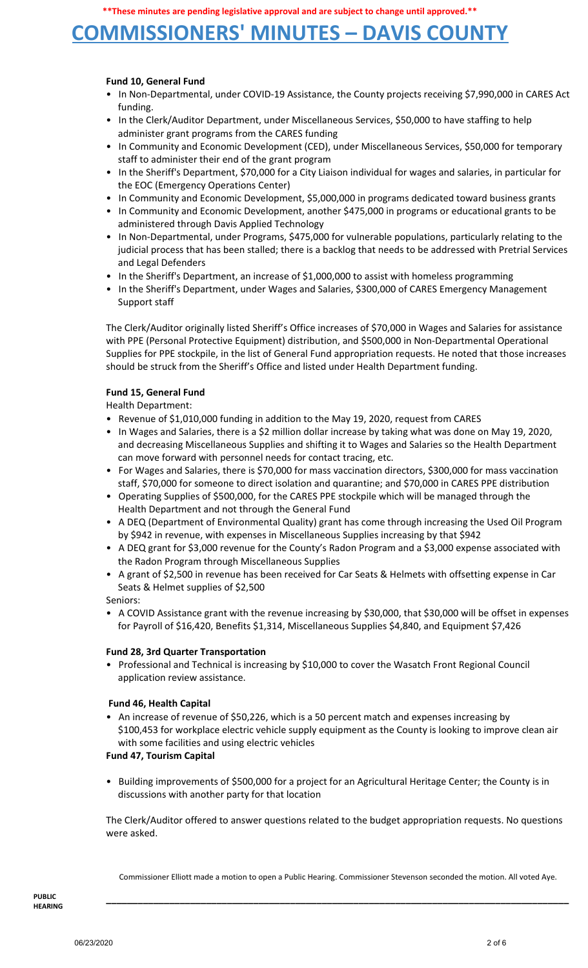# **COMMISSIONERS' MINUTES – DAVIS COUNTY**

### **Fund 10, General Fund**

- In Non-Departmental, under COVID-19 Assistance, the County projects receiving \$7,990,000 in CARES Act funding.
- In the Clerk/Auditor Department, under Miscellaneous Services, \$50,000 to have staffing to help administer grant programs from the CARES funding
- In Community and Economic Development (CED), under Miscellaneous Services, \$50,000 for temporary staff to administer their end of the grant program
- In the Sheriff's Department, \$70,000 for a City Liaison individual for wages and salaries, in particular for the EOC (Emergency Operations Center)
- In Community and Economic Development, \$5,000,000 in programs dedicated toward business grants
- In Community and Economic Development, another \$475,000 in programs or educational grants to be administered through Davis Applied Technology
- In Non-Departmental, under Programs, \$475,000 for vulnerable populations, particularly relating to the judicial process that has been stalled; there is a backlog that needs to be addressed with Pretrial Services and Legal Defenders
- In the Sheriff's Department, an increase of \$1,000,000 to assist with homeless programming
- In the Sheriff's Department, under Wages and Salaries, \$300,000 of CARES Emergency Management Support staff

The Clerk/Auditor originally listed Sheriff's Office increases of \$70,000 in Wages and Salaries for assistance with PPE (Personal Protective Equipment) distribution, and \$500,000 in Non-Departmental Operational Supplies for PPE stockpile, in the list of General Fund appropriation requests. He noted that those increases should be struck from the Sheriff's Office and listed under Health Department funding.

### **Fund 15, General Fund**

Health Department:

- Revenue of \$1,010,000 funding in addition to the May 19, 2020, request from CARES
- In Wages and Salaries, there is a \$2 million dollar increase by taking what was done on May 19, 2020, and decreasing Miscellaneous Supplies and shifting it to Wages and Salaries so the Health Department can move forward with personnel needs for contact tracing, etc.
- For Wages and Salaries, there is \$70,000 for mass vaccination directors, \$300,000 for mass vaccination staff, \$70,000 for someone to direct isolation and quarantine; and \$70,000 in CARES PPE distribution
- Operating Supplies of \$500,000, for the CARES PPE stockpile which will be managed through the Health Department and not through the General Fund
- A DEQ (Department of Environmental Quality) grant has come through increasing the Used Oil Program by \$942 in revenue, with expenses in Miscellaneous Supplies increasing by that \$942
- A DEQ grant for \$3,000 revenue for the County's Radon Program and a \$3,000 expense associated with the Radon Program through Miscellaneous Supplies
- A grant of \$2,500 in revenue has been received for Car Seats & Helmets with offsetting expense in Car Seats & Helmet supplies of \$2,500

Seniors:

• A COVID Assistance grant with the revenue increasing by \$30,000, that \$30,000 will be offset in expenses for Payroll of \$16,420, Benefits \$1,314, Miscellaneous Supplies \$4,840, and Equipment \$7,426

### **Fund 28, 3rd Quarter Transportation**

• Professional and Technical is increasing by \$10,000 to cover the Wasatch Front Regional Council application review assistance.

### **Fund 46, Health Capital**

• An increase of revenue of \$50,226, which is a 50 percent match and expenses increasing by \$100,453 for workplace electric vehicle supply equipment as the County is looking to improve clean air with some facilities and using electric vehicles

### **Fund 47, Tourism Capital**

• Building improvements of \$500,000 for a project for an Agricultural Heritage Center; the County is in discussions with another party for that location

The Clerk/Auditor offered to answer questions related to the budget appropriation requests. No questions were asked.

Commissioner Elliott made a motion to open a Public Hearing. Commissioner Stevenson seconded the motion. All voted Aye.

**\_\_\_\_\_\_\_\_\_\_\_\_\_\_\_\_\_\_\_\_\_\_\_\_\_\_\_\_\_\_\_\_\_\_\_\_\_\_\_\_\_\_\_\_\_\_\_\_\_\_\_\_\_\_\_\_\_\_\_\_\_\_\_\_\_\_\_\_\_\_\_\_\_\_\_\_\_\_\_\_\_\_\_\_\_\_\_\_**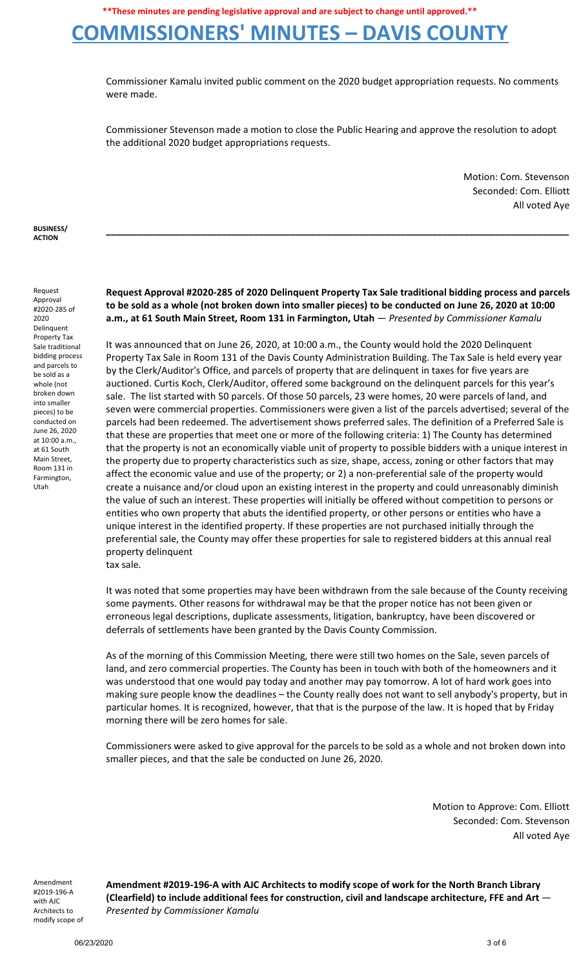# **COMMISSIONERS' MINUTES – DAVIS COUNTY**

Commissioner Kamalu invited public comment on the 2020 budget appropriation requests. No comments were made.

Commissioner Stevenson made a motion to close the Public Hearing and approve the resolution to adopt the additional 2020 budget appropriations requests.

> Motion: Com. Stevenson Seconded: Com. Elliott All voted Aye

**BUSINESS/ ACTION**

Request Approval #2020-285 of 2020 Delinquent Property Tax Sale traditional bidding process and parcels to be sold as a whole (not broken down into smaller pieces) to be conducted on June 26, 2020 at 10:00 a.m., at 61 South Main Street, Room 131 in Farmington, Utah

**Request Approval #2020-285 of 2020 Delinquent Property Tax Sale traditional bidding process and parcels** to be sold as a whole (not broken down into smaller pieces) to be conducted on June 26, 2020 at 10:00 **a.m., at 61 South Main Street, Room 131 in Farmington, Utah** — *Presented by Commissioner Kamalu*

**\_\_\_\_\_\_\_\_\_\_\_\_\_\_\_\_\_\_\_\_\_\_\_\_\_\_\_\_\_\_\_\_\_\_\_\_\_\_\_\_\_\_\_\_\_\_\_\_\_\_\_\_\_\_\_\_\_\_\_\_\_\_\_\_\_\_\_\_\_\_\_\_\_\_\_\_\_\_\_\_\_\_\_\_\_\_\_\_**

It was announced that on June 26, 2020, at 10:00 a.m., the County would hold the 2020 Delinquent Property Tax Sale in Room 131 of the Davis County Administration Building. The Tax Sale is held every year by the Clerk/Auditor's Office, and parcels of property that are delinquent in taxes for five years are auctioned. Curtis Koch, Clerk/Auditor, offered some background on the delinquent parcels for this year's sale. The list started with 50 parcels. Of those 50 parcels, 23 were homes, 20 were parcels of land, and seven were commercial properties. Commissioners were given a list of the parcels advertised; several of the parcels had been redeemed. The advertisement shows preferred sales. The definition of a Preferred Sale is that these are properties that meet one or more of the following criteria: 1) The County has determined that the property is not an economically viable unit of property to possible bidders with a unique interest in the property due to property characteristics such as size, shape, access, zoning or other factors that may affect the economic value and use of the property; or 2) a non-preferential sale of the property would create a nuisance and/or cloud upon an existing interest in the property and could unreasonably diminish the value of such an interest. These properties will initially be offered without competition to persons or entities who own property that abuts the identified property, or other persons or entities who have a unique interest in the identified property. If these properties are not purchased initially through the preferential sale, the County may offer these properties for sale to registered bidders at this annual real property delinquent

tax sale.

It was noted that some properties may have been withdrawn from the sale because of the County receiving some payments. Other reasons for withdrawal may be that the proper notice has not been given or erroneous legal descriptions, duplicate assessments, litigation, bankruptcy, have been discovered or deferrals of settlements have been granted by the Davis County Commission.

As of the morning of this Commission Meeting, there were still two homes on the Sale, seven parcels of land, and zero commercial properties. The County has been in touch with both of the homeowners and it was understood that one would pay today and another may pay tomorrow. A lot of hard work goes into making sure people know the deadlines – the County really does not want to sell anybody's property, but in particular homes. It is recognized, however, that that is the purpose of the law. It is hoped that by Friday morning there will be zero homes for sale.

Commissioners were asked to give approval for the parcels to be sold as a whole and not broken down into smaller pieces, and that the sale be conducted on June 26, 2020.

> Motion to Approve: Com. Elliott Seconded: Com. Stevenson All voted Aye

Amendment #2019-196-A with AJC Architects to modify scope of **Amendment #2019-196-A with AJC Architects to modify scope of work for the North Branch Library (Clearfield) to include additional fees for construction, civil and landscape architecture, FFE and Art** — *Presented by Commissioner Kamalu*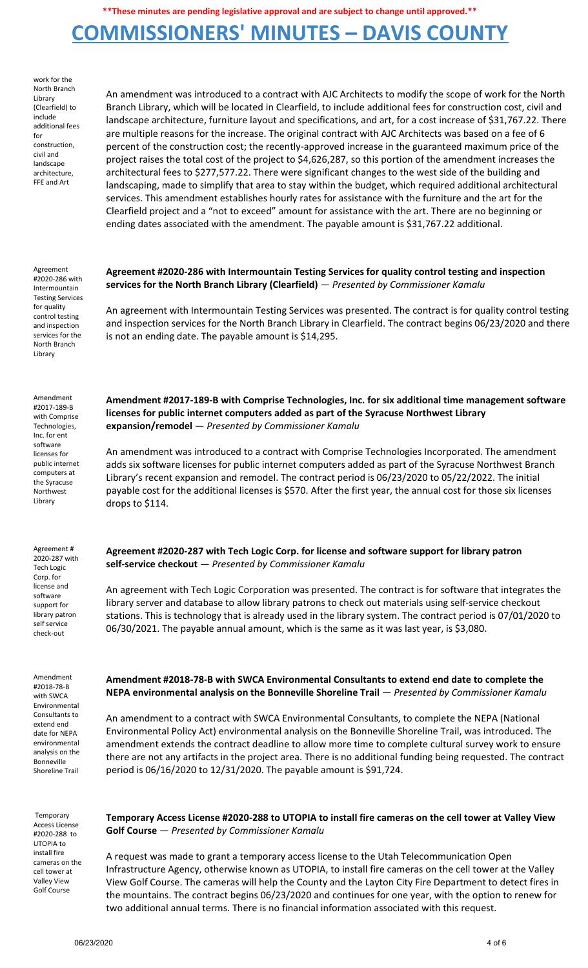## **COMMISSIONERS' MINUTES – DAVIS COUNTY**

work for the North Branch Library (Clearfield) to include additional fees for construction, civil and landscape architecture, FFE and Art

An amendment was introduced to a contract with AJC Architects to modify the scope of work for the North Branch Library, which will be located in Clearfield, to include additional fees for construction cost, civil and landscape architecture, furniture layout and specifications, and art, for a cost increase of \$31,767.22. There are multiple reasons for the increase. The original contract with AJC Architects was based on a fee of 6 percent of the construction cost; the recently-approved increase in the guaranteed maximum price of the project raises the total cost of the project to \$4,626,287, so this portion of the amendment increases the architectural fees to \$277,577.22. There were significant changes to the west side of the building and landscaping, made to simplify that area to stay within the budget, which required additional architectural services. This amendment establishes hourly rates for assistance with the furniture and the art for the Clearfield project and a "not to exceed" amount for assistance with the art. There are no beginning or ending dates associated with the amendment. The payable amount is \$31,767.22 additional.

Agreement #2020-286 with Intermountain Testing Services for quality control testing and inspection services for the North Branch Library

Amendment #2017-189-B with Comprise Technologies, Inc. for ent software licenses for public internet computers at the Syracuse Northwest Library

Agreement # 2020-287 with Tech Logic Corp. for license and software support for library patron self service check-out

Amendment #2018-78-B with SWCA Environmental Consultants to extend end date for NEPA environmental analysis on the Bonneville Shoreline Trail

Temporary Access License #2020-288 to UTOPIA to install fire cameras on the cell tower at Valley View Golf Course

### **Agreement #2020-286 with Intermountain Testing Services for quality control testing and inspection services for the North Branch Library (Clearfield)** — *Presented by Commissioner Kamalu*

An agreement with Intermountain Testing Services was presented. The contract is for quality control testing and inspection services for the North Branch Library in Clearfield. The contract begins 06/23/2020 and there is not an ending date. The payable amount is \$14,295.

**Amendment #2017-189-B with Comprise Technologies, Inc. for six additional time management software licenses for public internet computers added as part of the Syracuse Northwest Library expansion/remodel** — *Presented by Commissioner Kamalu*

An amendment was introduced to a contract with Comprise Technologies Incorporated. The amendment adds six software licenses for public internet computers added as part of the Syracuse Northwest Branch Library's recent expansion and remodel. The contract period is 06/23/2020 to 05/22/2022. The initial payable cost for the additional licenses is \$570. After the first year, the annual cost for those six licenses drops to \$114.

**Agreement #2020-287 with Tech Logic Corp. for license and software support for library patron self-service checkout** — *Presented by Commissioner Kamalu*

An agreement with Tech Logic Corporation was presented. The contract is for software that integrates the library server and database to allow library patrons to check out materials using self-service checkout stations. This is technology that is already used in the library system. The contract period is 07/01/2020 to 06/30/2021. The payable annual amount, which is the same as it was last year, is \$3,080.

**Amendment #2018-78-B with SWCA Environmental Consultants to extend end date to complete the NEPA environmental analysis on the Bonneville Shoreline Trail** — *Presented by Commissioner Kamalu*

An amendment to a contract with SWCA Environmental Consultants, to complete the NEPA (National Environmental Policy Act) environmental analysis on the Bonneville Shoreline Trail, was introduced. The amendment extends the contract deadline to allow more time to complete cultural survey work to ensure there are not any artifacts in the project area. There is no additional funding being requested. The contract period is 06/16/2020 to 12/31/2020. The payable amount is \$91,724.

**Temporary Access License #2020-288 to UTOPIA to install fire cameras on the cell tower at Valley View Golf Course** — *Presented by Commissioner Kamalu*

A request was made to grant a temporary access license to the Utah Telecommunication Open Infrastructure Agency, otherwise known as UTOPIA, to install fire cameras on the cell tower at the Valley View Golf Course. The cameras will help the County and the Layton City Fire Department to detect fires in the mountains. The contract begins 06/23/2020 and continues for one year, with the option to renew for two additional annual terms. There is no financial information associated with this request.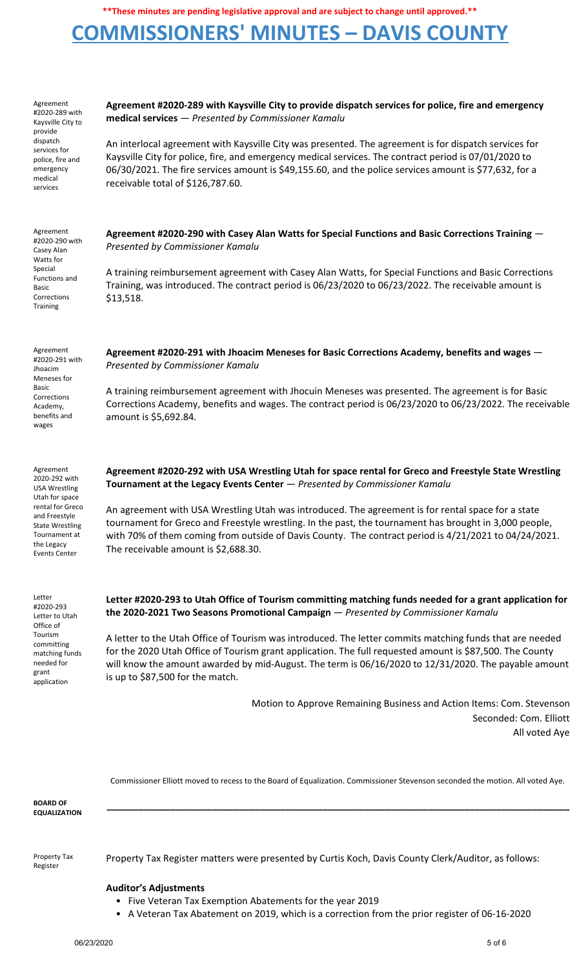# **COMMISSIONERS' MINUTES – DAVIS COUNTY**

| Agreement<br>#2020-289 with<br>Kaysville City to<br>provide<br>dispatch<br>services for<br>police, fire and<br>emergency<br>medical<br>services                                            | Agreement #2020-289 with Kaysville City to provide dispatch services for police, fire and emergency<br>medical services - Presented by Commissioner Kamalu<br>An interlocal agreement with Kaysville City was presented. The agreement is for dispatch services for<br>Kaysville City for police, fire, and emergency medical services. The contract period is 07/01/2020 to<br>06/30/2021. The fire services amount is \$49,155.60, and the police services amount is \$77,632, for a<br>receivable total of \$126,787.60.                                      |
|--------------------------------------------------------------------------------------------------------------------------------------------------------------------------------------------|------------------------------------------------------------------------------------------------------------------------------------------------------------------------------------------------------------------------------------------------------------------------------------------------------------------------------------------------------------------------------------------------------------------------------------------------------------------------------------------------------------------------------------------------------------------|
| Agreement<br>#2020-290 with<br>Casey Alan<br>Watts for<br>Special<br>Functions and<br><b>Basic</b><br>Corrections<br><b>Training</b>                                                       | Agreement #2020-290 with Casey Alan Watts for Special Functions and Basic Corrections Training $-$<br>Presented by Commissioner Kamalu<br>A training reimbursement agreement with Casey Alan Watts, for Special Functions and Basic Corrections<br>Training, was introduced. The contract period is 06/23/2020 to 06/23/2022. The receivable amount is<br>\$13,518.                                                                                                                                                                                              |
| Agreement<br>#2020-291 with<br>Jhoacim<br>Meneses for<br>Basic<br>Corrections<br>Academy,<br>benefits and<br>wages                                                                         | Agreement #2020-291 with Jhoacim Meneses for Basic Corrections Academy, benefits and wages $-$<br>Presented by Commissioner Kamalu<br>A training reimbursement agreement with Jhocuin Meneses was presented. The agreement is for Basic<br>Corrections Academy, benefits and wages. The contract period is 06/23/2020 to 06/23/2022. The receivable<br>amount is \$5,692.84.                                                                                                                                                                                     |
| Agreement<br>2020-292 with<br><b>USA Wrestling</b><br>Utah for space<br>rental for Greco<br>and Freestyle<br><b>State Wrestling</b><br>Tournament at<br>the Legacy<br><b>Events Center</b> | Agreement #2020-292 with USA Wrestling Utah for space rental for Greco and Freestyle State Wrestling<br>Tournament at the Legacy Events Center - Presented by Commissioner Kamalu<br>An agreement with USA Wrestling Utah was introduced. The agreement is for rental space for a state<br>tournament for Greco and Freestyle wrestling. In the past, the tournament has brought in 3,000 people,<br>with 70% of them coming from outside of Davis County. The contract period is 4/21/2021 to 04/24/2021.<br>The receivable amount is \$2,688.30.               |
| Letter<br>#2020-293<br>Letter to Utah<br>Office of<br>Tourism<br>committing<br>matching funds<br>needed for<br>grant<br>application                                                        | Letter #2020-293 to Utah Office of Tourism committing matching funds needed for a grant application for<br>the 2020-2021 Two Seasons Promotional Campaign - Presented by Commissioner Kamalu<br>A letter to the Utah Office of Tourism was introduced. The letter commits matching funds that are needed<br>for the 2020 Utah Office of Tourism grant application. The full requested amount is \$87,500. The County<br>will know the amount awarded by mid-August. The term is 06/16/2020 to 12/31/2020. The payable amount<br>is up to \$87,500 for the match. |

Motion to Approve Remaining Business and Action Items: Com. Stevenson Seconded: Com. Elliott All voted Aye

Commissioner Elliott moved to recess to the Board of Equalization. Commissioner Stevenson seconded the motion. All voted Aye.

**\_\_\_\_\_\_\_\_\_\_\_\_\_\_\_\_\_\_\_\_\_\_\_\_\_\_\_\_\_\_\_\_\_\_\_\_\_\_\_\_\_\_\_\_\_\_\_\_\_\_\_\_\_\_\_\_\_\_\_\_\_\_\_\_\_\_\_\_\_\_\_\_\_\_\_\_\_\_\_\_\_\_\_\_\_\_\_\_**

**BOARD OF EQUALIZATION**

Property Tax Register

Property Tax Register matters were presented by Curtis Koch, Davis County Clerk/Auditor, as follows:

### **Auditor's Adjustments**

- Five Veteran Tax Exemption Abatements for the year 2019
- A Veteran Tax Abatement on 2019, which is a correction from the prior register of 06-16-2020